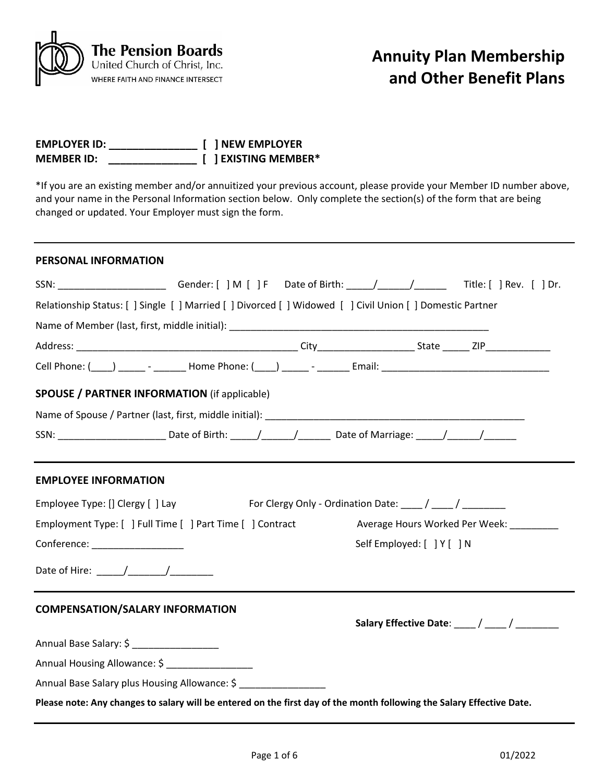

| <b>EMPLOYER ID:</b> | [ ] NEW EMPLOYER     |
|---------------------|----------------------|
| <b>MEMBER ID:</b>   | [ ] EXISTING MEMBER* |

\*If you are an existing member and/or annuitized your previous account, please provide your Member ID number above, and your name in the Personal Information section below. Only complete the section(s) of the form that are being changed or updated. Your Employer must sign the form.

# **PERSONAL INFORMATION**

| SSN: __________________________Gender: [ ] M [ ] F Date of Birth: _____/______/_________Title: [ ] Rev. [ ] Dr.       |  |                            |                                         |
|-----------------------------------------------------------------------------------------------------------------------|--|----------------------------|-----------------------------------------|
| Relationship Status: [ ] Single [ ] Married [ ] Divorced [ ] Widowed [ ] Civil Union [ ] Domestic Partner             |  |                            |                                         |
|                                                                                                                       |  |                            |                                         |
|                                                                                                                       |  |                            |                                         |
| Cell Phone: (____) ______ - ________ Home Phone: (____) ______ - _______ Email: ______________________________        |  |                            |                                         |
| <b>SPOUSE / PARTNER INFORMATION (if applicable)</b>                                                                   |  |                            |                                         |
|                                                                                                                       |  |                            |                                         |
| SSN: ______________________________Date of Birth: ______/________/____________Date of Marriage: ______/_______/       |  |                            |                                         |
| <b>EMPLOYEE INFORMATION</b>                                                                                           |  |                            |                                         |
| Employee Type: [] Clergy [ ] Lay For Clergy Only - Ordination Date: ____ / ____ / ________                            |  |                            |                                         |
| Employment Type: [ ] Full Time [ ] Part Time [ ] Contract                                                             |  |                            | Average Hours Worked Per Week: ________ |
| Conference: __________________                                                                                        |  | Self Employed: [ ] Y [ ] N |                                         |
|                                                                                                                       |  |                            |                                         |
| <b>COMPENSATION/SALARY INFORMATION</b>                                                                                |  |                            |                                         |
|                                                                                                                       |  |                            |                                         |
| Annual Base Salary: \$ ___________________                                                                            |  |                            |                                         |
| Annual Housing Allowance: \$ ___________________                                                                      |  |                            |                                         |
| Annual Base Salary plus Housing Allowance: \$                                                                         |  |                            |                                         |
| Please note: Any changes to salary will be entered on the first day of the month following the Salary Effective Date. |  |                            |                                         |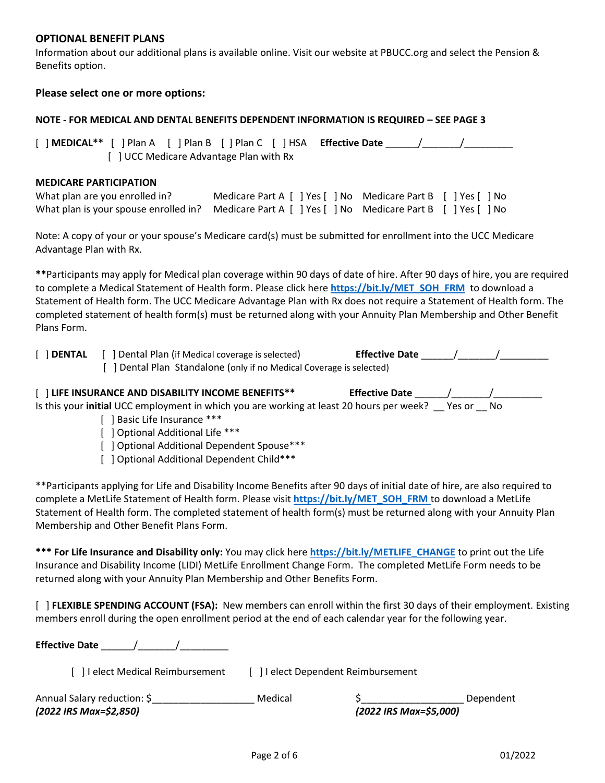# **OPTIONAL BENEFIT PLANS**

Information about our additional plans is available online. Visit our website at PBUCC.org and select the Pension & Benefits option.

# **Please select one or more options:**

# **NOTE - FOR MEDICAL AND DENTAL BENEFITS DEPENDENT INFORMATION IS REQUIRED – SEE PAGE 3**

[ ] **MEDICAL\*\*** [ ] Plan A [ ] Plan B [ ] Plan C [ ] HSA **Effective Date** \_\_\_\_\_\_/\_\_\_\_\_\_\_/\_\_\_\_\_\_\_\_\_ [ ] UCC Medicare Advantage Plan with Rx

### **MEDICARE PARTICIPATION**

| What plan are you enrolled in?                                                                      | Medicare Part A [ ] Yes [ ] No Medicare Part B [ ] Yes [ ] No |  |
|-----------------------------------------------------------------------------------------------------|---------------------------------------------------------------|--|
| What plan is your spouse enrolled in? Medicare Part A [ ] Yes [ ] No Medicare Part B [ ] Yes [ ] No |                                                               |  |

Note: A copy of your or your spouse's Medicare card(s) must be submitted for enrollment into the UCC Medicare Advantage Plan with Rx.

**\*\***Participants may apply for Medical plan coverage within 90 days of date of hire. After 90 days of hire, you are required to complete a Medical Statement of Health form. Please click here **[https://bit.ly/MET\\_SOH\\_FRM](https://bit.ly/MET_SOH_FRM)** to download a Statement of Health form. The UCC Medicare Advantage Plan with Rx does not require a Statement of Health form. The completed statement of health form(s) must be returned along with your Annuity Plan Membership and Other Benefit Plans Form.

| $[$ DENTAL | [ ] Dental Plan (if Medical coverage is selected)                    | <b>Effective Date</b> |  |
|------------|----------------------------------------------------------------------|-----------------------|--|
|            | [ ] Dental Plan Standalone (only if no Medical Coverage is selected) |                       |  |

| [] LIFE INSURANCE AND DISABILITY INCOME BENEFITS**                                       | <b>Effective Date</b> |        |      |
|------------------------------------------------------------------------------------------|-----------------------|--------|------|
| Is this your initial UCC employment in which you are working at least 20 hours per week? |                       | Yes or | - No |

- [ ] Basic Life Insurance \*\*\*
- [ ] Optional Additional Life \*\*\*
- [ ] Optional Additional Dependent Spouse\*\*\*
- [ ] Optional Additional Dependent Child\*\*\*

\*\*Participants applying for Life and Disability Income Benefits after 90 days of initial date of hire, are also required to complete a MetLife Statement of Health form. Please visit **[https://bit.ly/MET\\_SOH\\_FRM](https://bit.ly/MET_SOH_FRM)** to download a MetLife Statement of Health form. The completed statement of health form(s) must be returned along with your Annuity Plan Membership and Other Benefit Plans Form.

**\*\*\* For Life Insurance and Disability only:** You may click here **[https://bit.ly/METLIFE\\_CHANGE](https://bit.ly/METLIFE_CHANGE)** to print out the Life Insurance and Disability Income (LIDI) MetLife Enrollment Change Form. The completed MetLife Form needs to be returned along with your Annuity Plan Membership and Other Benefits Form.

[ ] **FLEXIBLE SPENDING ACCOUNT (FSA):** New members can enroll within the first 30 days of their employment. Existing members enroll during the open enrollment period at the end of each calendar year for the following year.

**Effective Date** \_\_\_\_\_\_/\_\_\_\_\_\_\_/\_\_\_\_\_\_\_\_\_

[ ] I elect Medical Reimbursement [ ] I elect Dependent Reimbursement

| Annual Salary reduction: \$ | Medical |                        | Dependent |
|-----------------------------|---------|------------------------|-----------|
| (2022 IRS Max=\$2,850)      |         | (2022 IRS Max=\$5,000) |           |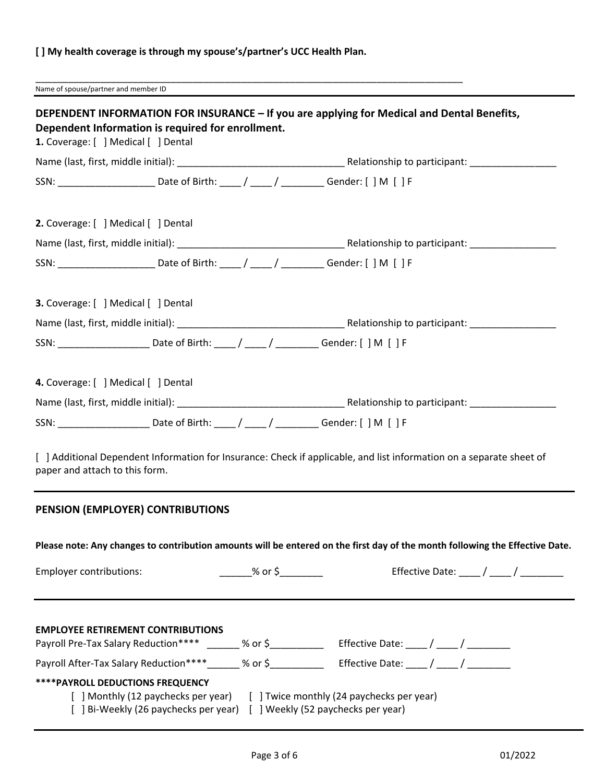# **[ ] My health coverage is through my spouse's/partner's UCC Health Plan.**

\_\_\_\_\_\_\_\_\_\_\_\_\_\_\_\_\_\_\_\_\_\_\_\_\_\_\_\_\_\_\_\_\_\_\_\_\_\_\_\_\_\_\_\_\_\_\_\_\_\_\_\_\_\_\_\_\_\_\_\_\_\_\_\_\_\_\_\_\_\_\_\_\_\_\_\_\_\_\_ Name of spouse/partner and member ID

| DEPENDENT INFORMATION FOR INSURANCE - If you are applying for Medical and Dental Benefits,<br>Dependent Information is required for enrollment.        |            |                                                                                                                                                           |                                                                                                                              |
|--------------------------------------------------------------------------------------------------------------------------------------------------------|------------|-----------------------------------------------------------------------------------------------------------------------------------------------------------|------------------------------------------------------------------------------------------------------------------------------|
| 1. Coverage: [ ] Medical [ ] Dental                                                                                                                    |            |                                                                                                                                                           |                                                                                                                              |
| SSN: _____________________________Date of Birth: _____/ _____/ _____________Gender: [ ] M [ ] F                                                        |            |                                                                                                                                                           |                                                                                                                              |
| 2. Coverage: [ ] Medical [ ] Dental                                                                                                                    |            |                                                                                                                                                           |                                                                                                                              |
|                                                                                                                                                        |            |                                                                                                                                                           |                                                                                                                              |
| SSN: _____________________________Date of Birth: _____/ _____/ ____________Gender: [ ] M [ ] F                                                         |            |                                                                                                                                                           |                                                                                                                              |
| 3. Coverage: [ ] Medical [ ] Dental                                                                                                                    |            |                                                                                                                                                           |                                                                                                                              |
|                                                                                                                                                        |            |                                                                                                                                                           |                                                                                                                              |
| SSN: _____________________________Date of Birth: _____/ _____/ ____________Gender: [ ] M [ ] F                                                         |            |                                                                                                                                                           |                                                                                                                              |
| 4. Coverage: [ ] Medical [ ] Dental                                                                                                                    |            |                                                                                                                                                           |                                                                                                                              |
|                                                                                                                                                        |            |                                                                                                                                                           |                                                                                                                              |
| SSN: _____________________________Date of Birth: _____/ _____/ _____________Gender: [ ] M [ ] F                                                        |            |                                                                                                                                                           |                                                                                                                              |
| paper and attach to this form.                                                                                                                         |            |                                                                                                                                                           | [ ] Additional Dependent Information for Insurance: Check if applicable, and list information on a separate sheet of         |
| PENSION (EMPLOYER) CONTRIBUTIONS                                                                                                                       |            |                                                                                                                                                           |                                                                                                                              |
|                                                                                                                                                        |            |                                                                                                                                                           | Please note: Any changes to contribution amounts will be entered on the first day of the month following the Effective Date. |
| Employer contributions:                                                                                                                                | $\%$ or \$ |                                                                                                                                                           | Effective Date: ____ / ____ / ______                                                                                         |
| <b>EMPLOYEE RETIREMENT CONTRIBUTIONS</b><br>Payroll Pre-Tax Salary Reduction**** _______ % or \$______________ Effective Date: ____/ ____/ ___________ |            |                                                                                                                                                           |                                                                                                                              |
| Payroll After-Tax Salary Reduction****______ % or \$______________ Effective Date: ____ / ____ / __________                                            |            |                                                                                                                                                           |                                                                                                                              |
| <b>****PAYROLL DEDUCTIONS FREQUENCY</b>                                                                                                                |            | [ ] Monthly (12 paychecks per year) [ ] Twice monthly (24 paychecks per year)<br>[ ] Bi-Weekly (26 paychecks per year) [ ] Weekly (52 paychecks per year) |                                                                                                                              |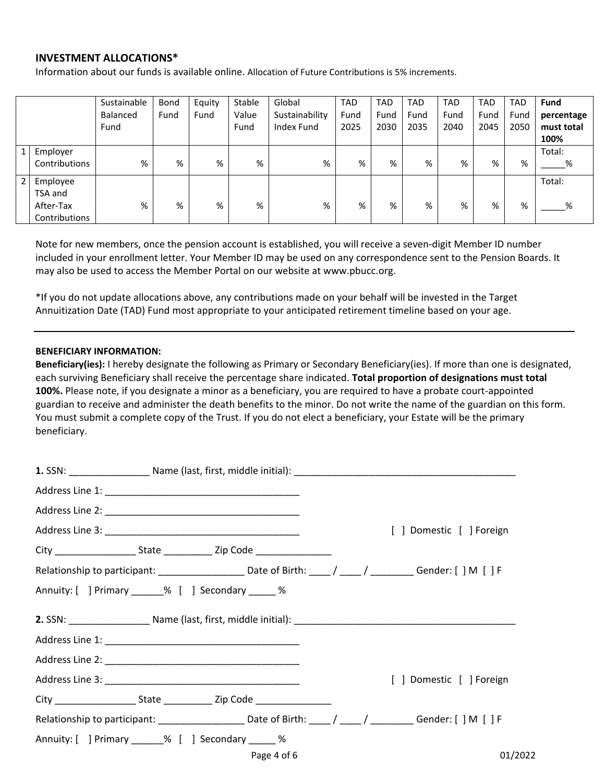#### **INVESTMENT ALLOCATIONS\***

Information about our funds is available online. Allocation of Future Contributions is 5% increments.

|                |               | Sustainable<br>Balanced<br>Fund | Bond<br>Fund | Equity<br>Fund | Stable<br>Value<br>Fund | Global<br>Sustainability<br>Index Fund | <b>TAD</b><br>Fund<br>2025 | <b>TAD</b><br>Fund<br>2030 | <b>TAD</b><br>Fund<br>2035 | <b>TAD</b><br>Fund<br>2040 | <b>TAD</b><br>Fund<br>2045 | <b>TAD</b><br>Fund<br>2050 | <b>Fund</b><br>percentage<br>must total |
|----------------|---------------|---------------------------------|--------------|----------------|-------------------------|----------------------------------------|----------------------------|----------------------------|----------------------------|----------------------------|----------------------------|----------------------------|-----------------------------------------|
|                |               |                                 |              |                |                         |                                        |                            |                            |                            |                            |                            |                            | 100%                                    |
| $\mathbf{1}$   | Employer      |                                 |              |                |                         |                                        |                            |                            |                            |                            |                            |                            | Total:                                  |
|                | Contributions | %                               | %            | %              | %                       | %                                      | %                          | %                          | %                          | %                          | %                          | %                          | %                                       |
| $\overline{2}$ | Employee      |                                 |              |                |                         |                                        |                            |                            |                            |                            |                            |                            | Total:                                  |
|                | TSA and       |                                 |              |                |                         |                                        |                            |                            |                            |                            |                            |                            |                                         |
|                | After-Tax     | %                               | %            | %              | %                       | %                                      | %                          | %                          | %                          | %                          | %                          | %                          | %                                       |
|                | Contributions |                                 |              |                |                         |                                        |                            |                            |                            |                            |                            |                            |                                         |

Note for new members, once the pension account is established, you will receive a seven-digit Member ID number included in your enrollment letter. Your Member ID may be used on any correspondence sent to the Pension Boards. It may also be used to access the Member Portal on our website at www.pbucc.org.

\*If you do not update allocations above, any contributions made on your behalf will be invested in the Target Annuitization Date (TAD) Fund most appropriate to your anticipated retirement timeline based on your age.

#### **BENEFICIARY INFORMATION:**

**Beneficiary(ies):** I hereby designate the following as Primary or Secondary Beneficiary(ies). If more than one is designated, each surviving Beneficiary shall receive the percentage share indicated. **Total proportion of designations must total 100%.** Please note, if you designate a minor as a beneficiary, you are required to have a probate court-appointed guardian to receive and administer the death benefits to the minor. Do not write the name of the guardian on this form. You must submit a complete copy of the Trust. If you do not elect a beneficiary, your Estate will be the primary beneficiary.

|                                                                                                                    |             | [ ] Domestic [ ] Foreign |
|--------------------------------------------------------------------------------------------------------------------|-------------|--------------------------|
| City ________________________State _________________Zip Code ___________________                                   |             |                          |
| Relationship to participant: _______________________Date of Birth: _____/ _____/ __________Gender: [ ] M [ ] F     |             |                          |
| Annuity: [ ] Primary ______% [ ] Secondary _____ %                                                                 |             |                          |
|                                                                                                                    |             |                          |
|                                                                                                                    |             |                          |
|                                                                                                                    |             |                          |
|                                                                                                                    |             | [ ] Domestic [ ] Foreign |
| City _______________________State ________________Zip Code _____________________                                   |             |                          |
| Relationship to participant: __________________________Date of Birth: _____/ _____/ ___________Gender: [ ] M [ ] F |             |                          |
| Annuity: [ ] Primary ______% [ ] Secondary _____ %                                                                 |             |                          |
|                                                                                                                    | Page 4 of 6 | 01/2022                  |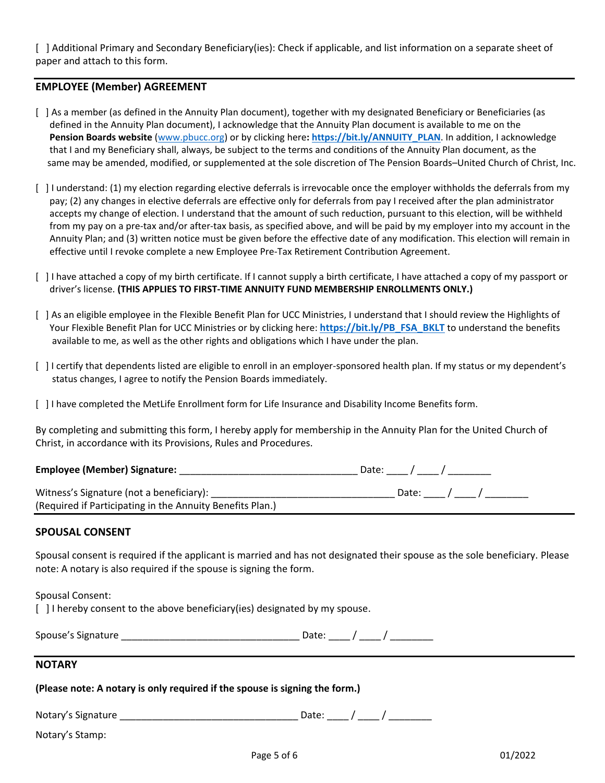[ ] Additional Primary and Secondary Beneficiary(ies): Check if applicable, and list information on a separate sheet of paper and attach to this form.

# **EMPLOYEE (Member) AGREEMENT**

- [ ] As a member (as defined in the Annuity Plan document), together with my designated Beneficiary or Beneficiaries (as defined in the Annuity Plan document), I acknowledge that the Annuity Plan document is available to me on the **Pension Boards website** [\(www.pbucc.org\)](http://www.pbucc.org/) or by clicking here**: [https://bit.ly/ANNUITY\\_PLAN](https://bit.ly/ANNUITY_PLAN)**. In addition, I acknowledge that I and my Beneficiary shall, always, be subject to the terms and conditions of the Annuity Plan document, as the same may be amended, modified, or supplemented at the sole discretion of The Pension Boards–United Church of Christ, Inc.
- [ ] I understand: (1) my election regarding elective deferrals is irrevocable once the employer withholds the deferrals from my pay; (2) any changes in elective deferrals are effective only for deferrals from pay I received after the plan administrator accepts my change of election. I understand that the amount of such reduction, pursuant to this election, will be withheld from my pay on a pre-tax and/or after-tax basis, as specified above, and will be paid by my employer into my account in the Annuity Plan; and (3) written notice must be given before the effective date of any modification. This election will remain in effective until I revoke complete a new Employee Pre-Tax Retirement Contribution Agreement.
- [ ] I have attached a copy of my birth certificate. If I cannot supply a birth certificate, I have attached a copy of my passport or driver's license. **(THIS APPLIES TO FIRST-TIME ANNUITY FUND MEMBERSHIP ENROLLMENTS ONLY.)**
- [ ] As an eligible employee in the Flexible Benefit Plan for UCC Ministries, I understand that I should review the Highlights of Your Flexible Benefit Plan for UCC Ministries or by clicking here: **[https://bit.ly/PB\\_FSA\\_BKLT](https://bit.ly/PB_FSA_BKLT)** to understand the benefits available to me, as well as the other rights and obligations which I have under the plan.
- [ ] I certify that dependents listed are eligible to enroll in an employer-sponsored health plan. If my status or my dependent's status changes, I agree to notify the Pension Boards immediately.
- [ ] I have completed the MetLife Enrollment form for Life Insurance and Disability Income Benefits form.

By completing and submitting this form, I hereby apply for membership in the Annuity Plan for the United Church of Christ, in accordance with its Provisions, Rules and Procedures.

| <b>Employee (Member) Signature:</b>                                                                   | Date: / |
|-------------------------------------------------------------------------------------------------------|---------|
| Witness's Signature (not a beneficiary):<br>(Required if Participating in the Annuity Benefits Plan.) | Date: / |

# **SPOUSAL CONSENT**

Spousal consent is required if the applicant is married and has not designated their spouse as the sole beneficiary. Please note: A notary is also required if the spouse is signing the form.

Spousal Consent:

[ ] I hereby consent to the above beneficiary(ies) designated by my spouse.

| Spouse's Signature |  |  |
|--------------------|--|--|
|                    |  |  |
|                    |  |  |

# **NOTARY**

**(Please note: A notary is only required if the spouse is signing the form.)**

| Notary's<br>Signature |  |  |  |  |
|-----------------------|--|--|--|--|
|-----------------------|--|--|--|--|

Notary's Stamp: